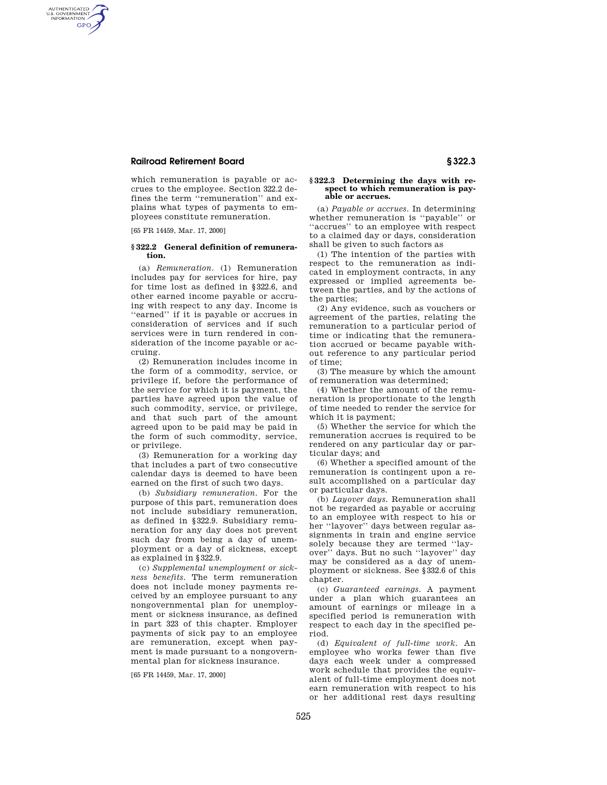# **Railroad Retirement Board § 322.3**

AUTHENTICATED<br>U.S. GOVERNMENT<br>INFORMATION GPO

> which remuneration is payable or accrues to the employee. Section 322.2 defines the term ''remuneration'' and explains what types of payments to employees constitute remuneration.

[65 FR 14459, Mar. 17, 2000]

#### **§ 322.2 General definition of remuneration.**

(a) *Remuneration.* (1) Remuneration includes pay for services for hire, pay for time lost as defined in §322.6, and other earned income payable or accruing with respect to any day. Income is ''earned'' if it is payable or accrues in consideration of services and if such services were in turn rendered in consideration of the income payable or accruing.

(2) Remuneration includes income in the form of a commodity, service, or privilege if, before the performance of the service for which it is payment, the parties have agreed upon the value of such commodity, service, or privilege, and that such part of the amount agreed upon to be paid may be paid in the form of such commodity, service, or privilege.

(3) Remuneration for a working day that includes a part of two consecutive calendar days is deemed to have been earned on the first of such two days.

(b) *Subsidiary remuneration.* For the purpose of this part, remuneration does not include subsidiary remuneration, as defined in §322.9. Subsidiary remuneration for any day does not prevent such day from being a day of unemployment or a day of sickness, except as explained in §322.9.

(c) *Supplemental unemployment or sickness benefits.* The term remuneration does not include money payments received by an employee pursuant to any nongovernmental plan for unemployment or sickness insurance, as defined in part 323 of this chapter. Employer payments of sick pay to an employee are remuneration, except when payment is made pursuant to a nongovernmental plan for sickness insurance.

[65 FR 14459, Mar. 17, 2000]

#### **§ 322.3 Determining the days with respect to which remuneration is payable or accrues.**

(a) *Payable or accrues.* In determining whether remuneration is ''payable'' or ''accrues'' to an employee with respect to a claimed day or days, consideration shall be given to such factors as

(1) The intention of the parties with respect to the remuneration as indicated in employment contracts, in any expressed or implied agreements between the parties, and by the actions of the parties;

(2) Any evidence, such as vouchers or agreement of the parties, relating the remuneration to a particular period of time or indicating that the remuneration accrued or became payable without reference to any particular period of time;

(3) The measure by which the amount of remuneration was determined;

(4) Whether the amount of the remuneration is proportionate to the length of time needed to render the service for which it is payment;

(5) Whether the service for which the remuneration accrues is required to be rendered on any particular day or particular days; and

(6) Whether a specified amount of the remuneration is contingent upon a result accomplished on a particular day or particular days.

(b) *Layover days.* Remuneration shall not be regarded as payable or accruing to an employee with respect to his or her ''layover'' days between regular assignments in train and engine service solely because they are termed ''layover'' days. But no such ''layover'' day may be considered as a day of unemployment or sickness. See §332.6 of this chapter.

(c) *Guaranteed earnings.* A payment under a plan which guarantees an amount of earnings or mileage in a specified period is remuneration with respect to each day in the specified period.

(d) *Equivalent of full-time work.* An employee who works fewer than five days each week under a compressed work schedule that provides the equivalent of full-time employment does not earn remuneration with respect to his or her additional rest days resulting